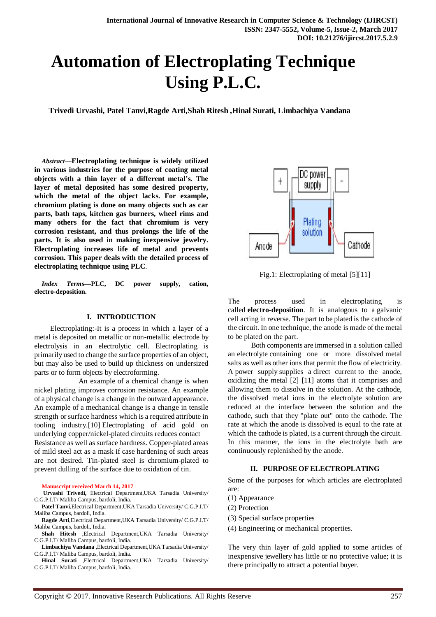# **Automation of Electroplating Technique Using P.L.C.**

**Trivedi Urvashi, Patel Tanvi,Ragde Arti,Shah Ritesh ,Hinal Surati, Limbachiya Vandana**

*Abstract***—Electroplating technique is widely utilized in various industries for the purpose of coating metal objects with a thin layer of a different metal's. The layer of metal deposited has some desired property, which the metal of the object lacks. For example, chromium plating is done on many objects such as car parts, bath taps, kitchen gas burners, wheel rims and many others for the fact that chromium is very corrosion resistant, and thus prolongs the life of the parts. It is also used in making inexpensive jewelry. Electroplating increases life of metal and prevents corrosion. This paper deals with the detailed process of electroplating technique using PLC**.

*Index Terms***—PLC, DC power supply, cation, electro-deposition.**

#### **I. INTRODUCTION**

 Electroplating:-It is a process in which a layer of a metal is deposited on metallic or non-metallic electrode by electrolysis in an electrolytic cell. Electroplating is primarily used to change the surface properties of an object, but may also be used to build up thickness on undersized parts or to form objects by electroforming.

An example of a chemical change is when nickel plating improves corrosion resistance. An example of a physical change is a change in the outward appearance. An example of a mechanical change is a change in tensile strength or surface hardness which is a required attribute in tooling industry.[10] Electroplating of acid gold on underlying copper/nickel-plated circuits reduces contact Resistance as well as surface hardness. Copper-plated areas of mild steel act as a mask if case hardening of such areas are not desired. Tin-plated steel is chromium-plated to prevent dulling of the surface due to oxidation of tin.

#### **Manuscript received March 14, 2017**

- **Urvashi Trivedi,** Electrical Department,UKA Tarsadia University/ C.G.P.I.T/ Maliba Campus, bardoli, India.
- **Patel Tanvi**,Electrical Department,UKA Tarsadia University/ C.G.P.I.T/ Maliba Campus, bardoli, India.
- **Ragde Arti**,Electrical Department,UKA Tarsadia University/ C.G.P.I.T/ Maliba Campus, bardoli, India.
- **Shah Hitesh** ,Electrical Department,UKA Tarsadia University/ C.G.P.I.T/ Maliba Campus, bardoli, India.
- **Limbachiya Vandana** ,Electrical Department,UKA Tarsadia University/ C.G.P.I.T/ Maliba Campus, bardoli, India.
- **Hinal Surati** ,Electrical Department,UKA Tarsadia University/ C.G.P.I.T/ Maliba Campus, bardoli, India.



Fig.1: Electroplating of metal [5][11]

The process used in electroplating is called **electro-deposition**. It is analogous to a galvanic cell acting in reverse. The part to be plated is the cathode of the circuit. In one technique, the anode is made of the metal to be plated on the part.

 Both components are immersed in a solution called an electrolyte containing one or more dissolved metal salts as well as other ions that permit the flow of electricity. A power supply supplies a direct current to the anode, oxidizing the metal [2] [11] atoms that it comprises and allowing them to dissolve in the solution. At the cathode, the dissolved metal ions in the electrolyte solution are reduced at the interface between the solution and the cathode, such that they "plate out" onto the cathode. The rate at which the anode is dissolved is equal to the rate at which the cathode is plated, is a current through the circuit. In this manner, the ions in the electrolyte bath are continuously replenished by the anode.

#### **II. PURPOSE OF ELECTROPLATING**

Some of the purposes for which articles are electroplated are:

- (1) Appearance
- (2) Protection
- (3) Special surface properties
- (4) Engineering or mechanical properties.

The very thin layer of gold applied to some articles of inexpensive jewellery has little or no protective value; it is there principally to attract a potential buyer.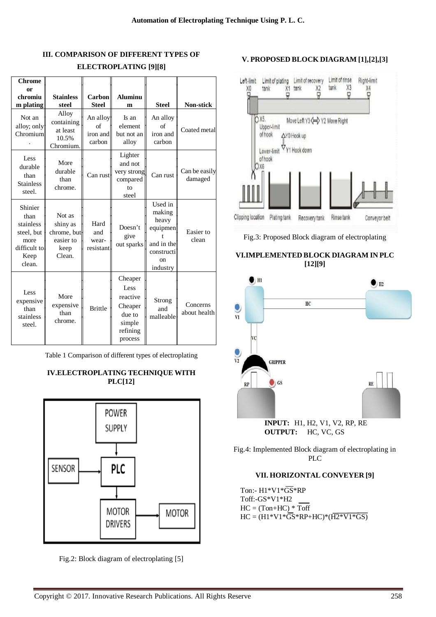## **III. COMPARISON OF DIFFERENT TYPES OF ELECTROPLATING [9][8]**

| <b>Chrome</b><br><sub>or</sub><br>chromiu<br>m plating                               | <b>Stainless</b><br>steel                                        | Carbon<br><b>Steel</b>               | <b>Aluminu</b><br>m                                                               | <b>Steel</b>                                                                                    | <b>Non-stick</b>         |
|--------------------------------------------------------------------------------------|------------------------------------------------------------------|--------------------------------------|-----------------------------------------------------------------------------------|-------------------------------------------------------------------------------------------------|--------------------------|
| Not an<br>alloy; only<br>Chromium                                                    | Alloy<br>containing<br>at least<br>10.5%<br>Chromium.            | An alloy<br>of<br>iron and<br>carbon | Is an<br>element<br>but not an<br>alloy                                           | An alloy<br>of<br>iron and<br>carbon                                                            | Coated metal             |
| Less<br>durable<br>than<br><b>Stainless</b><br>steel.                                | More<br>durable<br>than<br>chrome.                               | Can rust                             | Lighter<br>and not<br>very strong<br>compared<br>to<br>steel                      | Can rust                                                                                        | Can be easily<br>damaged |
| Shinier<br>than<br>stainless<br>steel, but<br>more<br>difficult to<br>Keep<br>clean. | Not as<br>shiny as<br>chrome, but<br>easier to<br>keep<br>Clean. | Hard<br>and<br>wear-<br>resistant    | Doesn't<br>give<br>out sparks                                                     | Used in<br>making<br>heavy<br>equipmen<br>and in the<br>constructi<br><sub>on</sub><br>industry | Easier to<br>clean       |
| Less<br>expensive<br>than<br>stainless<br>steel.                                     | More<br>expensive<br>than<br>chrome.                             | <b>Brittle</b>                       | Cheaper<br>Less<br>reactive<br>Cheaper<br>due to<br>simple<br>refining<br>process | Strong<br>and<br>malleable                                                                      | Concerns<br>about health |

Table 1 Comparison of different types of electroplating

## **IV.ELECTROPLATING TECHNIQUE WITH PLC[12]**



Fig.2: Block diagram of electroplating [5]

## **V. PROPOSED BLOCK DIAGRAM [1],[2],[3]**



Fig.3: Proposed Block diagram of electroplating

## **VI.IMPLEMENTED BLOCK DIAGRAM IN PLC [12][9]**



Fig.4: Implemented Block diagram of electroplating in PLC

## **VII. HORIZONTAL CONVEYER [9]**

 Ton:- H1\*V1\*GS\*RP Toff:-GS\*V1\*H2  $HC = (Tom+HC) * Toff$  $HC = (H1*V1*\overline{GS} * RP + HC)*(\overline{H2*V1*GS})$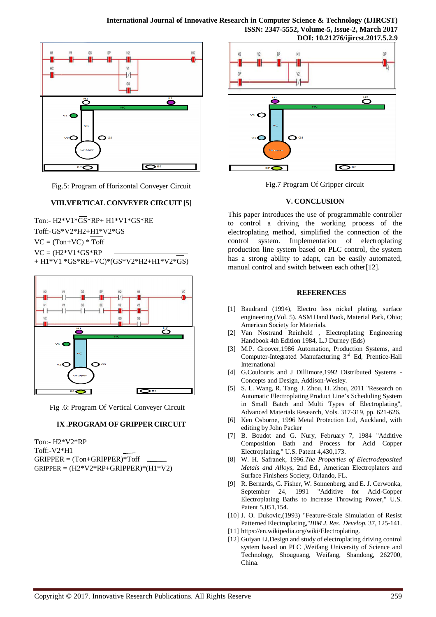

Fig.5: Program of Horizontal Conveyer Circuit

#### **VIII.VERTICAL CONVEYER CIRCUIT [5]**

Ton:- H2\*V1\*GS\*RP+ H1\*V1\*GS\*RE Toff:-GS\*V2\*H2+H1\*V2\*GS  $VC = (Ton+VC) * Toff$  $VC = (H2*V1*GS*RP)$ + H1\*V1 \*GS\*RE+VC)\*(GS\*V2\*H2+H1\*V2\*GS)



Fig .6: Program Of Vertical Conveyer Circuit

#### **IX .PROGRAM OF GRIPPER CIRCUIT**

Ton:- H2\*V2\*RP Toff:-V2\*H1  $GRIPPER = ( Ton+GRIPPER)*Toff$  $GRIPPER = (H2*V2*RP+GRIPPER)* (H1*V2)$ 



Fig.7 Program Of Gripper circuit

#### **V. CONCLUSION**

This paper introduces the use of programmable controller to control a driving the working process of the electroplating method, simplified the connection of the control system. Implementation of electroplating production line system based on PLC control, the system has a strong ability to adapt, can be easily automated, manual control and switch between each other[12].

#### **REFERENCES**

- [1] Baudrand (1994), Electro less nickel plating, surface engineering (Vol. 5). ASM Hand Book, Material Park, Ohio; American Society for Materials.
- [2] Van Nostrand Reinhold , Electroplating Engineering Handbook 4th Edition 1984, L.J Durney (Eds)
- [3] M.P. Groover,1986 Automation, Production Systems, and Computer-Integrated Manufacturing 3<sup>rd</sup> Ed, Prentice-Hall International
- [4] G.Coulouris and J Dillimore, 1992 Distributed Systems -Concepts and Design, Addison-Wesley.
- [5] S. L. Wang, R. Tang, J. Zhou, H. Zhou, 2011 "Research on Automatic Electroplating Product Line's Scheduling System in Small Batch and Multi Types of Electroplating", Advanced Materials Research, Vols. 317-319, pp. 621-626.
- [6] Ken Osborne, 1996 Metal Protection Ltd, Auckland, with editing by John Packer
- [7] B. Boudot and G. Nury, February 7, 1984 "Additive Composition Bath and Process for Acid Copper Electroplating," U.S. Patent 4,430,173.
- [8] W. H. Safranek, 1996.*The Properties of Electrodeposited Metals and Alloys*, 2nd Ed., American Electroplaters and Surface Finishers Society, Orlando, FL.
- [9] R. Bernards, G. Fisher, W. Sonnenberg, and E. J. Cerwonka, September 24, 1991 "Additive for Acid-Copper Electroplating Baths to Increase Throwing Power," U.S. Patent 5,051,154.
- [10] J. O. Dukovic, (1993) "Feature-Scale Simulation of Resist Patterned Electroplating,"*IBM J. Res. Develop.* 37, 125-141.
- [11] https://en.wikipedia.org/wiki/Electroplating.
- [12] Guiyan Li, Design and study of electroplating driving control system based on PLC ,Weifang University of Science and Technology, Shouguang, Weifang, Shandong, 262700, China.